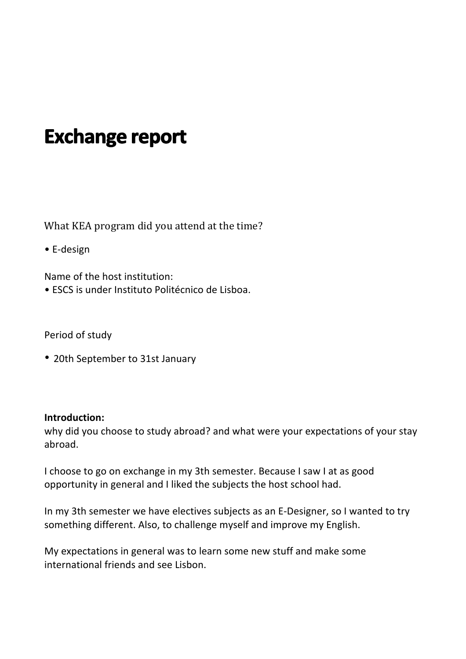# **Exchange report**

What KEA program did you attend at the time?

• E-design

Name of the host institution:

• ESCS is under Instituto Politécnico de Lisboa.

Period of study

• 20th September to 31st January

#### **Introduction:**

why did you choose to study abroad? and what were your expectations of your stay abroad.

I choose to go on exchange in my 3th semester. Because I saw I at as good opportunity in general and I liked the subjects the host school had.

In my 3th semester we have electives subjects as an E-Designer, so I wanted to try something different. Also, to challenge myself and improve my English.

My expectations in general was to learn some new stuff and make some international friends and see Lisbon.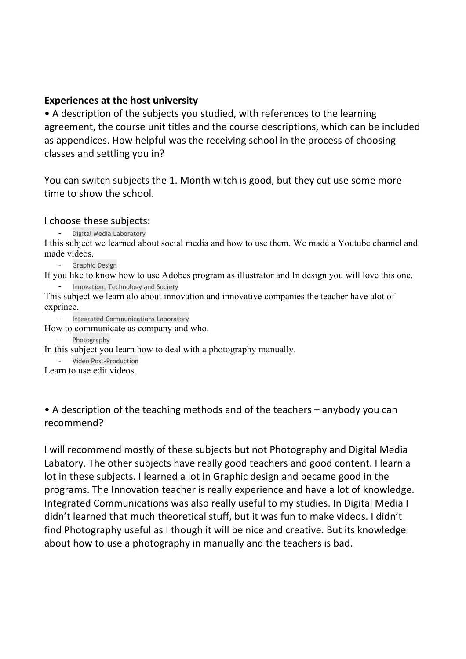### **Experiences at the host university**

• A description of the subjects you studied, with references to the learning agreement, the course unit titles and the course descriptions, which can be included as appendices. How helpful was the receiving school in the process of choosing classes and settling you in?

You can switch subjects the 1. Month witch is good, but they cut use some more time to show the school.

I choose these subjects:

Digital Media Laboratory

I this subject we learned about social media and how to use them. We made a Youtube channel and made videos.

- Graphic Design

If you like to know how to use Adobes program as illustrator and In design you will love this one. Innovation, Technology and Society

This subject we learn alo about innovation and innovative companies the teacher have alot of exprince.

- Integrated Communications Laboratory

How to communicate as company and who.

- Photography

In this subject you learn how to deal with a photography manually.

- Video Post-Production

Learn to use edit videos.

• A description of the teaching methods and of the teachers – anybody you can recommend?

I will recommend mostly of these subjects but not Photography and Digital Media Labatory. The other subjects have really good teachers and good content. I learn a lot in these subjects. I learned a lot in Graphic design and became good in the programs. The Innovation teacher is really experience and have a lot of knowledge. Integrated Communications was also really useful to my studies. In Digital Media I didn't learned that much theoretical stuff, but it was fun to make videos. I didn't find Photography useful as I though it will be nice and creative. But its knowledge about how to use a photography in manually and the teachers is bad.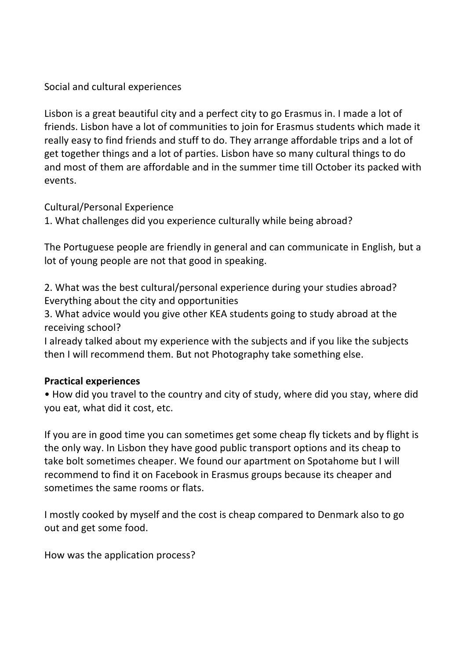Social and cultural experiences

Lisbon is a great beautiful city and a perfect city to go Erasmus in. I made a lot of friends. Lisbon have a lot of communities to join for Erasmus students which made it really easy to find friends and stuff to do. They arrange affordable trips and a lot of get together things and a lot of parties. Lisbon have so many cultural things to do and most of them are affordable and in the summer time till October its packed with events.

Cultural/Personal Experience

1. What challenges did you experience culturally while being abroad?

The Portuguese people are friendly in general and can communicate in English, but a lot of young people are not that good in speaking.

2. What was the best cultural/personal experience during your studies abroad? Everything about the city and opportunities

3. What advice would you give other KEA students going to study abroad at the receiving school?

I already talked about my experience with the subjects and if you like the subjects then I will recommend them. But not Photography take something else.

## **Practical experiences**

• How did you travel to the country and city of study, where did you stay, where did you eat, what did it cost, etc.

If you are in good time you can sometimes get some cheap fly tickets and by flight is the only way. In Lisbon they have good public transport options and its cheap to take bolt sometimes cheaper. We found our apartment on Spotahome but I will recommend to find it on Facebook in Erasmus groups because its cheaper and sometimes the same rooms or flats.

I mostly cooked by myself and the cost is cheap compared to Denmark also to go out and get some food.

How was the application process?